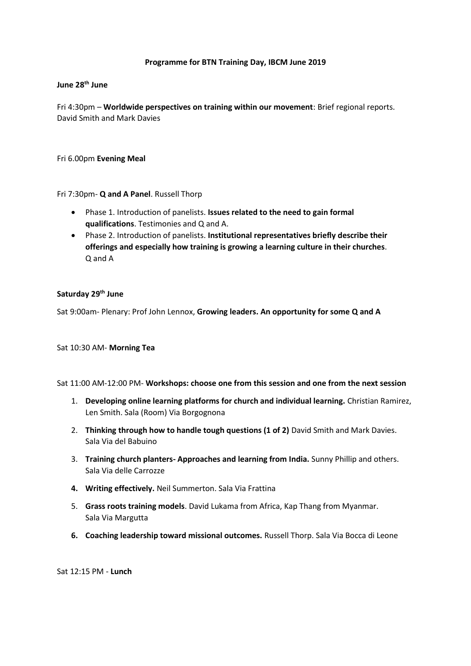## **Programme for BTN Training Day, IBCM June 2019**

## **June 28th June**

Fri 4:30pm – **Worldwide perspectives on training within our movement**: Brief regional reports. David Smith and Mark Davies

Fri 6.00pm **Evening Meal**

Fri 7:30pm- **Q and A Panel**. Russell Thorp

- Phase 1. Introduction of panelists. **Issues related to the need to gain formal qualifications**. Testimonies and Q and A.
- Phase 2. Introduction of panelists. **Institutional representatives briefly describe their offerings and especially how training is growing a learning culture in their churches**. Q and A

# **Saturday 29th June**

Sat 9:00am- Plenary: Prof John Lennox, **Growing leaders. An opportunity for some Q and A**

Sat 10:30 AM- **Morning Tea**

#### Sat 11:00 AM-12:00 PM- **Workshops: choose one from this session and one from the next session**

- 1. **Developing online learning platforms for church and individual learning.** Christian Ramirez, Len Smith. Sala (Room) Via Borgognona
- 2. **Thinking through how to handle tough questions (1 of 2)** David Smith and Mark Davies. Sala Via del Babuino
- 3. **Training church planters- Approaches and learning from India.** Sunny Phillip and others. Sala Via delle Carrozze
- **4. Writing effectively.** Neil Summerton. Sala Via Frattina
- 5. **Grass roots training models**. David Lukama from Africa, Kap Thang from Myanmar. Sala Via Margutta
- **6. Coaching leadership toward missional outcomes.** Russell Thorp. Sala Via Bocca di Leone

Sat 12:15 PM - **Lunch**